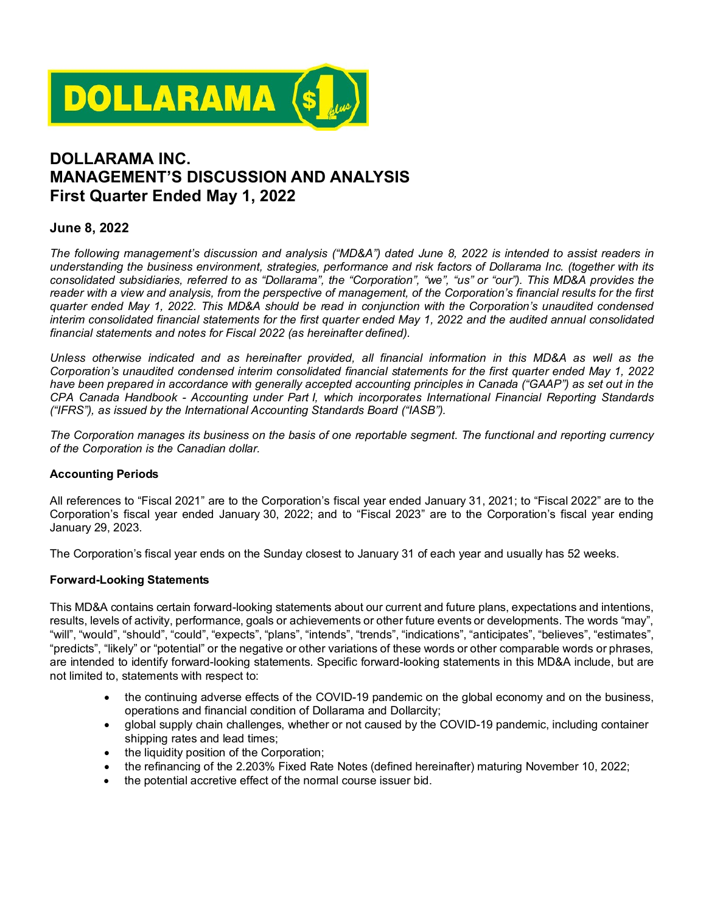

# **DOLLARAMA INC. MANAGEMENT'S DISCUSSION AND ANALYSIS First Quarter Ended May 1, 2022**

## **June 8, 2022**

*The following management's discussion and analysis ("MD&A") dated June 8, 2022 is intended to assist readers in understanding the business environment, strategies, performance and risk factors of Dollarama Inc. (together with its consolidated subsidiaries, referred to as "Dollarama", the "Corporation", "we", "us" or "our"). This MD&A provides the reader with a view and analysis, from the perspective of management, of the Corporation's financial results for the first quarter ended May 1, 2022. This MD&A should be read in conjunction with the Corporation's unaudited condensed interim consolidated financial statements for the first quarter ended May 1, 2022 and the audited annual consolidated financial statements and notes for Fiscal 2022 (as hereinafter defined).*

*Unless otherwise indicated and as hereinafter provided, all financial information in this MD&A as well as the Corporation's unaudited condensed interim consolidated financial statements for the first quarter ended May 1, 2022* have been prepared in accordance with generally accepted accounting principles in Canada ("GAAP") as set out in the *CPA Canada Handbook - Accounting under Part I, which incorporates International Financial Reporting Standards ("IFRS"), as issued by the International Accounting Standards Board ("IASB").*

*The Corporation manages its business on the basis of one reportable segment. The functional and reporting currency of the Corporation is the Canadian dollar.*

#### **Accounting Periods**

All references to "Fiscal 2021" are to the Corporation's fiscal year ended January 31, 2021; to "Fiscal 2022" are to the Corporation's fiscal year ended January 30, 2022; and to "Fiscal 2023" are to the Corporation's fiscal year ending January 29, 2023.

The Corporation's fiscal year ends on the Sunday closest to January 31 of each year and usually has 52 weeks.

#### **Forward-Looking Statements**

This MD&A contains certain forward-looking statements about our current and future plans, expectations and intentions, results, levels of activity, performance, goals or achievements or other future events or developments. The words "may", "will", "would", "should", "could", "expects", "plans", "intends", "trends", "indications", "anticipates", "believes", "estimates", "predicts", "likely" or "potential" or the negative or other variations of these words or other comparable words or phrases, are intended to identify forward-looking statements. Specific forward-looking statements in this MD&A include, but are not limited to, statements with respect to:

- the continuing adverse effects of the COVID-19 pandemic on the global economy and on the business, operations and financial condition of Dollarama and Dollarcity;
- global supply chain challenges, whether or not caused by the COVID-19 pandemic, including container shipping rates and lead times;
- the liquidity position of the Corporation;
- the refinancing of the 2.203% Fixed Rate Notes (defined hereinafter) maturing November 10, 2022;
- the potential accretive effect of the normal course issuer bid.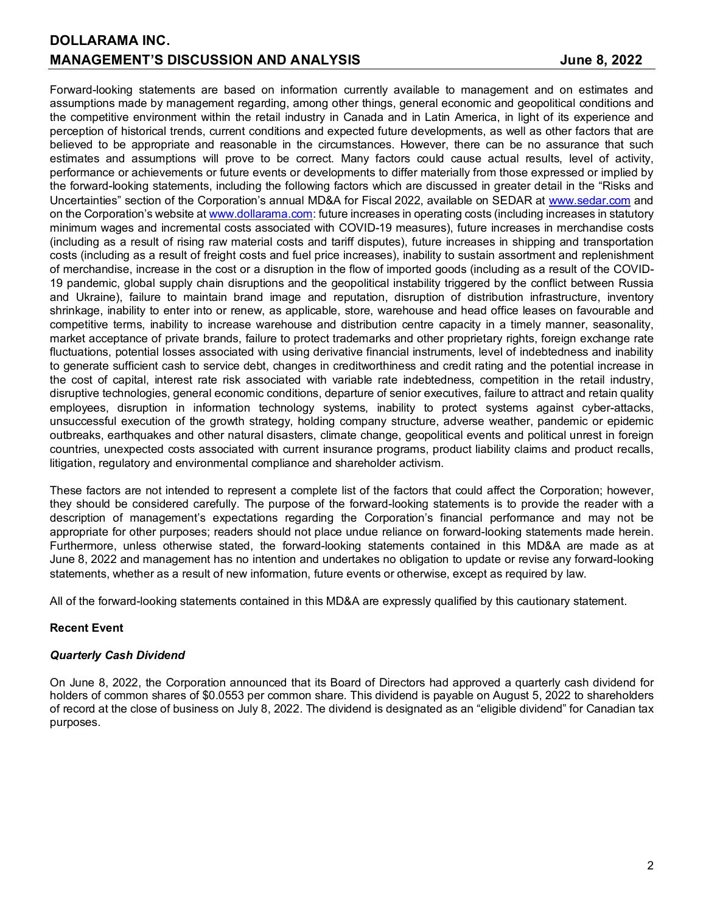Forward-looking statements are based on information currently available to management and on estimates and assumptions made by management regarding, among other things, general economic and geopolitical conditions and the competitive environment within the retail industry in Canada and in Latin America, in light of its experience and perception of historical trends, current conditions and expected future developments, as well as other factors that are believed to be appropriate and reasonable in the circumstances. However, there can be no assurance that such estimates and assumptions will prove to be correct. Many factors could cause actual results, level of activity, performance or achievements or future events or developments to differ materially from those expressed or implied by the forward-looking statements, including the following factors which are discussed in greater detail in the "Risks and Uncertainties" section of the Corporation's annual MD&A for Fiscal 2022, available on SEDAR at [www.sedar.com](http://www.sedar.com/) and on the Corporation's website a[t www.dollarama.com:](http://www.dollarama.com/) future increases in operating costs (including increases in statutory minimum wages and incremental costs associated with COVID-19 measures), future increases in merchandise costs (including as a result of rising raw material costs and tariff disputes), future increases in shipping and transportation costs (including as a result of freight costs and fuel price increases), inability to sustain assortment and replenishment of merchandise, increase in the cost or a disruption in the flow of imported goods (including as a result of the COVID-19 pandemic, global supply chain disruptions and the geopolitical instability triggered by the conflict between Russia and Ukraine), failure to maintain brand image and reputation, disruption of distribution infrastructure, inventory shrinkage, inability to enter into or renew, as applicable, store, warehouse and head office leases on favourable and competitive terms, inability to increase warehouse and distribution centre capacity in a timely manner, seasonality, market acceptance of private brands, failure to protect trademarks and other proprietary rights, foreign exchange rate fluctuations, potential losses associated with using derivative financial instruments, level of indebtedness and inability to generate sufficient cash to service debt, changes in creditworthiness and credit rating and the potential increase in the cost of capital, interest rate risk associated with variable rate indebtedness, competition in the retail industry, disruptive technologies, general economic conditions, departure of senior executives, failure to attract and retain quality employees, disruption in information technology systems, inability to protect systems against cyber-attacks, unsuccessful execution of the growth strategy, holding company structure, adverse weather, pandemic or epidemic outbreaks, earthquakes and other natural disasters, climate change, geopolitical events and political unrest in foreign countries, unexpected costs associated with current insurance programs, product liability claims and product recalls, litigation, regulatory and environmental compliance and shareholder activism.

These factors are not intended to represent a complete list of the factors that could affect the Corporation; however, they should be considered carefully. The purpose of the forward-looking statements is to provide the reader with a description of management's expectations regarding the Corporation's financial performance and may not be appropriate for other purposes; readers should not place undue reliance on forward-looking statements made herein. Furthermore, unless otherwise stated, the forward-looking statements contained in this MD&A are made as at June 8, 2022 and management has no intention and undertakes no obligation to update or revise any forward-looking statements, whether as a result of new information, future events or otherwise, except as required by law.

All of the forward-looking statements contained in this MD&A are expressly qualified by this cautionary statement.

## **Recent Event**

## *Quarterly Cash Dividend*

On June 8, 2022, the Corporation announced that its Board of Directors had approved a quarterly cash dividend for holders of common shares of \$0.0553 per common share. This dividend is payable on August 5, 2022 to shareholders of record at the close of business on July 8, 2022. The dividend is designated as an "eligible dividend" for Canadian tax purposes.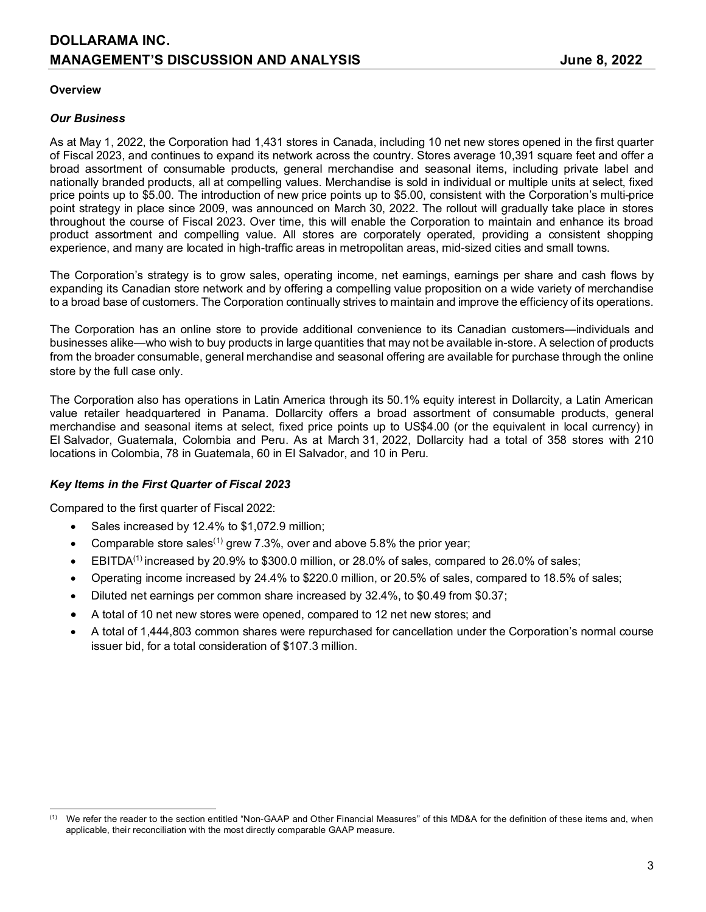## **DOLLARAMA INC. MANAGEMENT'S DISCUSSION AND ANALYSIS The Set of Second 19th Set of Set of Second 19th Set of Second 19th Set of Second 19th Set of Second 19th Second 19th Set of Second 19th Second 19th Second 19th Second 19th Second 19**

### **Overview**

### *Our Business*

As at May 1, 2022, the Corporation had 1,431 stores in Canada, including 10 net new stores opened in the first quarter of Fiscal 2023, and continues to expand its network across the country. Stores average 10,391 square feet and offer a broad assortment of consumable products, general merchandise and seasonal items, including private label and nationally branded products, all at compelling values. Merchandise is sold in individual or multiple units at select, fixed price points up to \$5.00. The introduction of new price points up to \$5.00, consistent with the Corporation's multi-price point strategy in place since 2009, was announced on March 30, 2022. The rollout will gradually take place in stores throughout the course of Fiscal 2023. Over time, this will enable the Corporation to maintain and enhance its broad product assortment and compelling value. All stores are corporately operated, providing a consistent shopping experience, and many are located in high-traffic areas in metropolitan areas, mid-sized cities and small towns.

The Corporation's strategy is to grow sales, operating income, net earnings, earnings per share and cash flows by expanding its Canadian store network and by offering a compelling value proposition on a wide variety of merchandise to a broad base of customers. The Corporation continually strives to maintain and improve the efficiency of its operations.

The Corporation has an online store to provide additional convenience to its Canadian customers—individuals and businesses alike—who wish to buy products in large quantities that may not be available in-store. A selection of products from the broader consumable, general merchandise and seasonal offering are available for purchase through the online store by the full case only.

The Corporation also has operations in Latin America through its 50.1% equity interest in Dollarcity, a Latin American value retailer headquartered in Panama. Dollarcity offers a broad assortment of consumable products, general merchandise and seasonal items at select, fixed price points up to US\$4.00 (or the equivalent in local currency) in El Salvador, Guatemala, Colombia and Peru. As at March 31, 2022, Dollarcity had a total of 358 stores with 210 locations in Colombia, 78 in Guatemala, 60 in El Salvador, and 10 in Peru.

## *Key Items in the First Quarter of Fiscal 2023*

Compared to the first quarter of Fiscal 2022:

- Sales increased by 12.4% to \$1,072.9 million;
- Comparable store sales<sup>([1](#page-2-0))</sup> grew 7.3%, over and above 5.8% the prior year;
- $\bullet$  EBITDA<sup>(1)</sup> increased by 20.9% to \$300.0 million, or 28.0% of sales, compared to 26.0% of sales;
- Operating income increased by 24.4% to \$220.0 million, or 20.5% of sales, compared to 18.5% of sales;
- Diluted net earnings per common share increased by 32.4%, to \$0.49 from \$0.37;
- A total of 10 net new stores were opened, compared to 12 net new stores; and
- A total of 1,444,803 common shares were repurchased for cancellation under the Corporation's normal course issuer bid, for a total consideration of \$107.3 million.

<span id="page-2-0"></span> $<sup>(1)</sup>$  We refer the reader to the section entitled "Non-GAAP and Other Financial Measures" of this MD&A for the definition of these items and, when</sup> applicable, their reconciliation with the most directly comparable GAAP measure.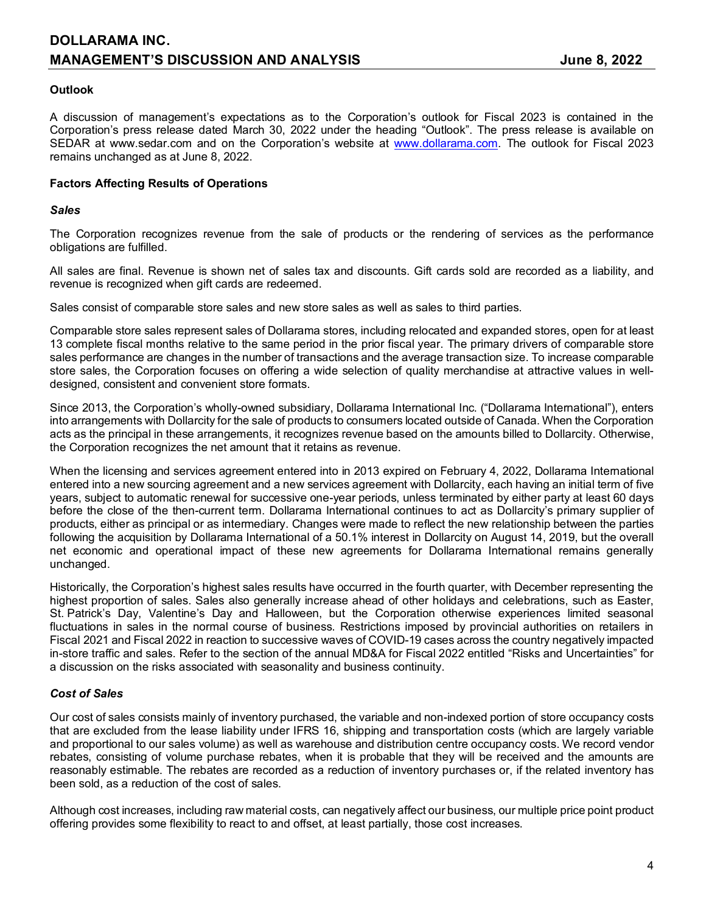## **DOLLARAMA INC. MANAGEMENT'S DISCUSSION AND ANALYSIS The Set of Second 19th Set of Set of Second 19th Set of Second 19th Set of Second 19th Set of Second 19th Second 19th Set of Second 19th Second 19th Second 19th Second 19th Second 19**

## **Outlook**

A discussion of management's expectations as to the Corporation's outlook for Fiscal 2023 is contained in the Corporation's press release dated March 30, 2022 under the heading "Outlook". The press release is available on SEDAR at www.sedar.com and on the Corporation's website at [www.dollarama.com.](http://www.dollarama.com/) The outlook for Fiscal 2023 remains unchanged as at June 8, 2022.

### **Factors Affecting Results of Operations**

#### *Sales*

The Corporation recognizes revenue from the sale of products or the rendering of services as the performance obligations are fulfilled.

All sales are final. Revenue is shown net of sales tax and discounts. Gift cards sold are recorded as a liability, and revenue is recognized when gift cards are redeemed.

Sales consist of comparable store sales and new store sales as well as sales to third parties.

Comparable store sales represent sales of Dollarama stores, including relocated and expanded stores, open for at least 13 complete fiscal months relative to the same period in the prior fiscal year. The primary drivers of comparable store sales performance are changes in the number of transactions and the average transaction size. To increase comparable store sales, the Corporation focuses on offering a wide selection of quality merchandise at attractive values in welldesigned, consistent and convenient store formats.

Since 2013, the Corporation's wholly-owned subsidiary, Dollarama International Inc. ("Dollarama International"), enters into arrangements with Dollarcity for the sale of products to consumers located outside of Canada. When the Corporation acts as the principal in these arrangements, it recognizes revenue based on the amounts billed to Dollarcity. Otherwise, the Corporation recognizes the net amount that it retains as revenue.

When the licensing and services agreement entered into in 2013 expired on February 4, 2022, Dollarama International entered into a new sourcing agreement and a new services agreement with Dollarcity, each having an initial term of five years, subject to automatic renewal for successive one-year periods, unless terminated by either party at least 60 days before the close of the then-current term. Dollarama International continues to act as Dollarcity's primary supplier of products, either as principal or as intermediary. Changes were made to reflect the new relationship between the parties following the acquisition by Dollarama International of a 50.1% interest in Dollarcity on August 14, 2019, but the overall net economic and operational impact of these new agreements for Dollarama International remains generally unchanged.

Historically, the Corporation's highest sales results have occurred in the fourth quarter, with December representing the highest proportion of sales. Sales also generally increase ahead of other holidays and celebrations, such as Easter, St. Patrick's Day, Valentine's Day and Halloween, but the Corporation otherwise experiences limited seasonal fluctuations in sales in the normal course of business. Restrictions imposed by provincial authorities on retailers in Fiscal 2021 and Fiscal 2022 in reaction to successive waves of COVID-19 cases across the country negatively impacted in-store traffic and sales. Refer to the section of the annual MD&A for Fiscal 2022 entitled "Risks and Uncertainties" for a discussion on the risks associated with seasonality and business continuity.

## *Cost of Sales*

Our cost of sales consists mainly of inventory purchased, the variable and non-indexed portion of store occupancy costs that are excluded from the lease liability under IFRS 16, shipping and transportation costs (which are largely variable and proportional to our sales volume) as well as warehouse and distribution centre occupancy costs. We record vendor rebates, consisting of volume purchase rebates, when it is probable that they will be received and the amounts are reasonably estimable. The rebates are recorded as a reduction of inventory purchases or, if the related inventory has been sold, as a reduction of the cost of sales.

Although cost increases, including raw material costs, can negatively affect our business, our multiple price point product offering provides some flexibility to react to and offset, at least partially, those cost increases.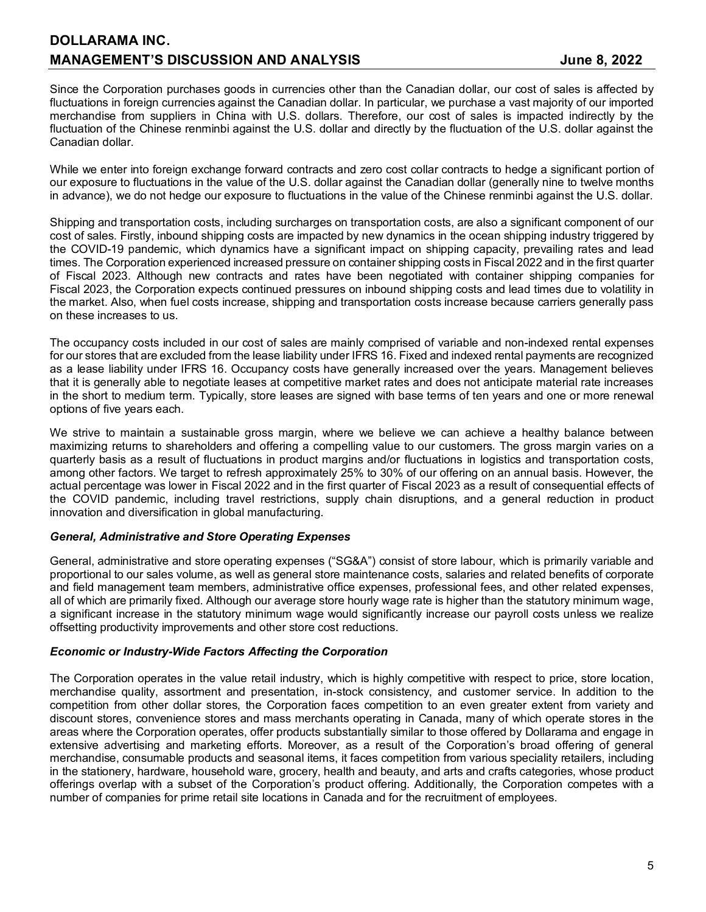Since the Corporation purchases goods in currencies other than the Canadian dollar, our cost of sales is affected by fluctuations in foreign currencies against the Canadian dollar. In particular, we purchase a vast majority of our imported merchandise from suppliers in China with U.S. dollars. Therefore, our cost of sales is impacted indirectly by the fluctuation of the Chinese renminbi against the U.S. dollar and directly by the fluctuation of the U.S. dollar against the Canadian dollar.

While we enter into foreign exchange forward contracts and zero cost collar contracts to hedge a significant portion of our exposure to fluctuations in the value of the U.S. dollar against the Canadian dollar (generally nine to twelve months in advance), we do not hedge our exposure to fluctuations in the value of the Chinese renminbi against the U.S. dollar.

Shipping and transportation costs, including surcharges on transportation costs, are also a significant component of our cost of sales. Firstly, inbound shipping costs are impacted by new dynamics in the ocean shipping industry triggered by the COVID-19 pandemic, which dynamics have a significant impact on shipping capacity, prevailing rates and lead times. The Corporation experienced increased pressure on container shipping costs in Fiscal 2022 and in the first quarter of Fiscal 2023. Although new contracts and rates have been negotiated with container shipping companies for Fiscal 2023, the Corporation expects continued pressures on inbound shipping costs and lead times due to volatility in the market. Also, when fuel costs increase, shipping and transportation costs increase because carriers generally pass on these increases to us.

The occupancy costs included in our cost of sales are mainly comprised of variable and non-indexed rental expenses for our stores that are excluded from the lease liability under IFRS 16. Fixed and indexed rental payments are recognized as a lease liability under IFRS 16. Occupancy costs have generally increased over the years. Management believes that it is generally able to negotiate leases at competitive market rates and does not anticipate material rate increases in the short to medium term. Typically, store leases are signed with base terms of ten years and one or more renewal options of five years each.

We strive to maintain a sustainable gross margin, where we believe we can achieve a healthy balance between maximizing returns to shareholders and offering a compelling value to our customers. The gross margin varies on a quarterly basis as a result of fluctuations in product margins and/or fluctuations in logistics and transportation costs, among other factors. We target to refresh approximately 25% to 30% of our offering on an annual basis. However, the actual percentage was lower in Fiscal 2022 and in the first quarter of Fiscal 2023 as a result of consequential effects of the COVID pandemic, including travel restrictions, supply chain disruptions, and a general reduction in product innovation and diversification in global manufacturing.

#### *General, Administrative and Store Operating Expenses*

General, administrative and store operating expenses ("SG&A") consist of store labour, which is primarily variable and proportional to our sales volume, as well as general store maintenance costs, salaries and related benefits of corporate and field management team members, administrative office expenses, professional fees, and other related expenses, all of which are primarily fixed. Although our average store hourly wage rate is higher than the statutory minimum wage, a significant increase in the statutory minimum wage would significantly increase our payroll costs unless we realize offsetting productivity improvements and other store cost reductions.

#### *Economic or Industry-Wide Factors Affecting the Corporation*

The Corporation operates in the value retail industry, which is highly competitive with respect to price, store location, merchandise quality, assortment and presentation, in-stock consistency, and customer service. In addition to the competition from other dollar stores, the Corporation faces competition to an even greater extent from variety and discount stores, convenience stores and mass merchants operating in Canada, many of which operate stores in the areas where the Corporation operates, offer products substantially similar to those offered by Dollarama and engage in extensive advertising and marketing efforts. Moreover, as a result of the Corporation's broad offering of general merchandise, consumable products and seasonal items, it faces competition from various speciality retailers, including in the stationery, hardware, household ware, grocery, health and beauty, and arts and crafts categories, whose product offerings overlap with a subset of the Corporation's product offering. Additionally, the Corporation competes with a number of companies for prime retail site locations in Canada and for the recruitment of employees.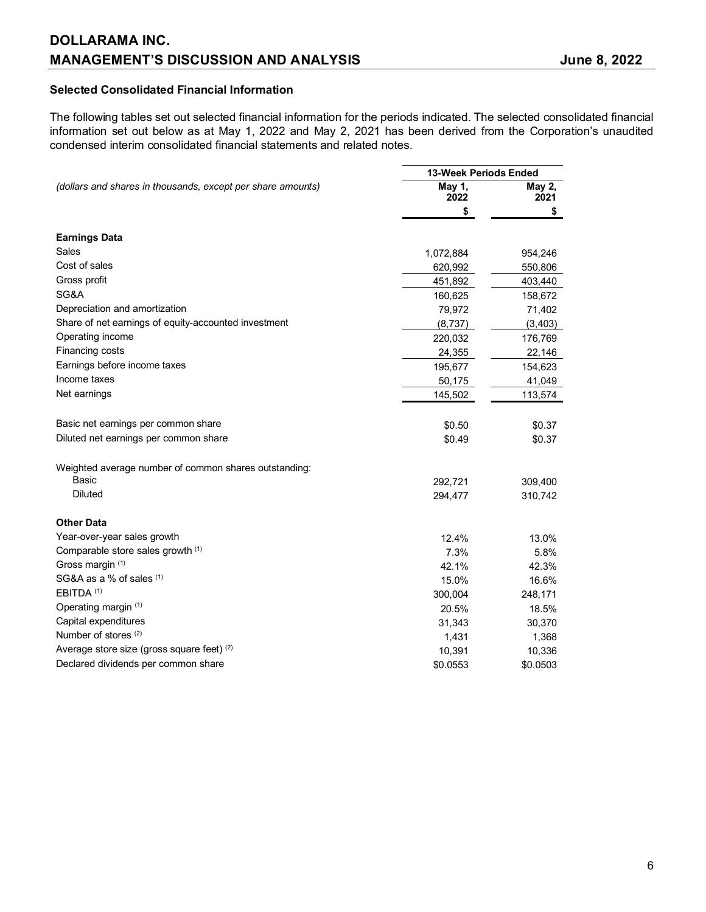## **Selected Consolidated Financial Information**

The following tables set out selected financial information for the periods indicated. The selected consolidated financial information set out below as at May 1, 2022 and May 2, 2021 has been derived from the Corporation's unaudited condensed interim consolidated financial statements and related notes.

|                                                             | 13-Week Periods Ended |                |
|-------------------------------------------------------------|-----------------------|----------------|
| (dollars and shares in thousands, except per share amounts) | May 1,<br>2022        | May 2,<br>2021 |
|                                                             | \$                    | \$             |
| <b>Earnings Data</b>                                        |                       |                |
| Sales                                                       | 1,072,884             | 954,246        |
| Cost of sales                                               | 620,992               | 550,806        |
| Gross profit                                                | 451,892               | 403,440        |
| SG&A                                                        | 160,625               | 158,672        |
| Depreciation and amortization                               | 79,972                | 71,402         |
| Share of net earnings of equity-accounted investment        | (8,737)               | (3, 403)       |
| Operating income                                            | 220,032               | 176,769        |
| Financing costs                                             | 24,355                | 22,146         |
| Earnings before income taxes                                | 195,677               | 154,623        |
| Income taxes                                                | 50,175                | 41,049         |
| Net earnings                                                | 145,502               | 113,574        |
| Basic net earnings per common share                         | \$0.50                | \$0.37         |
| Diluted net earnings per common share                       | \$0.49                | \$0.37         |
|                                                             |                       |                |
| Weighted average number of common shares outstanding:       |                       |                |
| Basic                                                       | 292,721               | 309,400        |
| <b>Diluted</b>                                              | 294,477               | 310,742        |
| <b>Other Data</b>                                           |                       |                |
| Year-over-year sales growth                                 | 12.4%                 | 13.0%          |
| Comparable store sales growth (1)                           | 7.3%                  | 5.8%           |
| Gross margin (1)                                            | 42.1%                 | 42.3%          |
| SG&A as a % of sales (1)                                    | 15.0%                 | 16.6%          |
| EBITDA <sup>(1)</sup>                                       | 300,004               | 248,171        |
| Operating margin (1)                                        | 20.5%                 | 18.5%          |
| Capital expenditures                                        | 31,343                | 30,370         |
| Number of stores (2)                                        | 1,431                 | 1,368          |
| Average store size (gross square feet) (2)                  | 10,391                | 10,336         |
| Declared dividends per common share                         | \$0.0553              | \$0.0503       |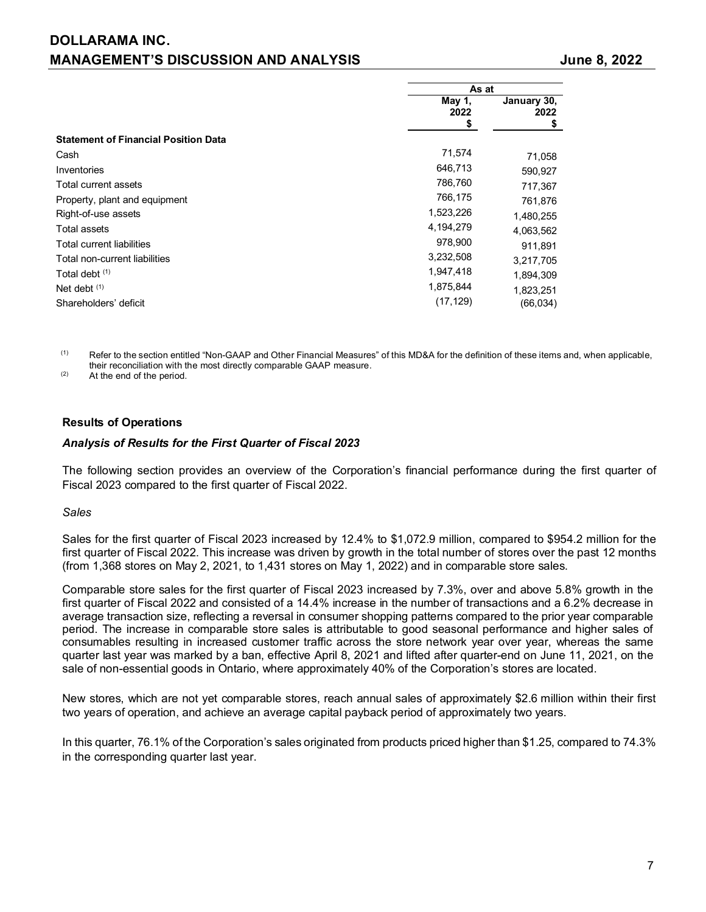|                                             | As at          |                          |  |
|---------------------------------------------|----------------|--------------------------|--|
|                                             | May 1,<br>2022 | January 30,<br>2022<br>S |  |
| <b>Statement of Financial Position Data</b> |                |                          |  |
| Cash                                        | 71,574         | 71,058                   |  |
| Inventories                                 | 646,713        | 590,927                  |  |
| Total current assets                        | 786,760        | 717,367                  |  |
| Property, plant and equipment               | 766,175        | 761,876                  |  |
| Right-of-use assets                         | 1,523,226      | 1,480,255                |  |
| Total assets                                | 4,194,279      | 4,063,562                |  |
| <b>Total current liabilities</b>            | 978,900        | 911.891                  |  |
| Total non-current liabilities               | 3,232,508      | 3,217,705                |  |
| Total debt (1)                              | 1,947,418      | 1,894,309                |  |
| Net debt $(1)$                              | 1,875,844      | 1,823,251                |  |
| Shareholders' deficit                       | (17, 129)      | (66, 034)                |  |

(1) Refer to the section entitled "Non-GAAP and Other Financial Measures" of this MD&A for the definition of these items and, when applicable, their reconciliation with the most directly comparable GAAP measure.

(2) At the end of the period.

### **Results of Operations**

#### *Analysis of Results for the First Quarter of Fiscal 2023*

The following section provides an overview of the Corporation's financial performance during the first quarter of Fiscal 2023 compared to the first quarter of Fiscal 2022.

#### *Sales*

Sales for the first quarter of Fiscal 2023 increased by 12.4% to \$1,072.9 million, compared to \$954.2 million for the first quarter of Fiscal 2022. This increase was driven by growth in the total number of stores over the past 12 months (from 1,368 stores on May 2, 2021, to 1,431 stores on May 1, 2022) and in comparable store sales.

Comparable store sales for the first quarter of Fiscal 2023 increased by 7.3%, over and above 5.8% growth in the first quarter of Fiscal 2022 and consisted of a 14.4% increase in the number of transactions and a 6.2% decrease in average transaction size, reflecting a reversal in consumer shopping patterns compared to the prior year comparable period. The increase in comparable store sales is attributable to good seasonal performance and higher sales of consumables resulting in increased customer traffic across the store network year over year, whereas the same quarter last year was marked by a ban, effective April 8, 2021 and lifted after quarter-end on June 11, 2021, on the sale of non-essential goods in Ontario, where approximately 40% of the Corporation's stores are located.

New stores, which are not yet comparable stores, reach annual sales of approximately \$2.6 million within their first two years of operation, and achieve an average capital payback period of approximately two years.

In this quarter, 76.1% of the Corporation's sales originated from products priced higher than \$1.25, compared to 74.3% in the corresponding quarter last year.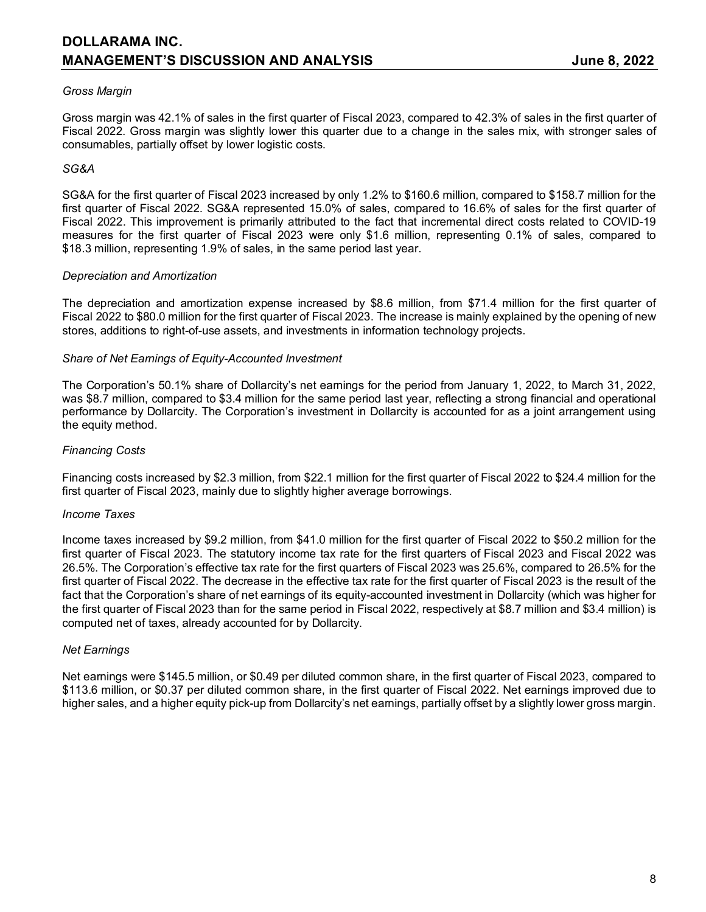## *Gross Margin*

Gross margin was 42.1% of sales in the first quarter of Fiscal 2023, compared to 42.3% of sales in the first quarter of Fiscal 2022. Gross margin was slightly lower this quarter due to a change in the sales mix, with stronger sales of consumables, partially offset by lower logistic costs.

### *SG&A*

SG&A for the first quarter of Fiscal 2023 increased by only 1.2% to \$160.6 million, compared to \$158.7 million for the first quarter of Fiscal 2022. SG&A represented 15.0% of sales, compared to 16.6% of sales for the first quarter of Fiscal 2022. This improvement is primarily attributed to the fact that incremental direct costs related to COVID-19 measures for the first quarter of Fiscal 2023 were only \$1.6 million, representing 0.1% of sales, compared to \$18.3 million, representing 1.9% of sales, in the same period last year.

#### *Depreciation and Amortization*

The depreciation and amortization expense increased by \$8.6 million, from \$71.4 million for the first quarter of Fiscal 2022 to \$80.0 million for the first quarter of Fiscal 2023. The increase is mainly explained by the opening of new stores, additions to right-of-use assets, and investments in information technology projects.

### *Share of Net Earnings of Equity-Accounted Investment*

The Corporation's 50.1% share of Dollarcity's net earnings for the period from January 1, 2022, to March 31, 2022, was \$8.7 million, compared to \$3.4 million for the same period last year, reflecting a strong financial and operational performance by Dollarcity. The Corporation's investment in Dollarcity is accounted for as a joint arrangement using the equity method.

### *Financing Costs*

Financing costs increased by \$2.3 million, from \$22.1 million for the first quarter of Fiscal 2022 to \$24.4 million for the first quarter of Fiscal 2023, mainly due to slightly higher average borrowings.

#### *Income Taxes*

Income taxes increased by \$9.2 million, from \$41.0 million for the first quarter of Fiscal 2022 to \$50.2 million for the first quarter of Fiscal 2023. The statutory income tax rate for the first quarters of Fiscal 2023 and Fiscal 2022 was 26.5%. The Corporation's effective tax rate for the first quarters of Fiscal 2023 was 25.6%, compared to 26.5% for the first quarter of Fiscal 2022. The decrease in the effective tax rate for the first quarter of Fiscal 2023 is the result of the fact that the Corporation's share of net earnings of its equity-accounted investment in Dollarcity (which was higher for the first quarter of Fiscal 2023 than for the same period in Fiscal 2022, respectively at \$8.7 million and \$3.4 million) is computed net of taxes, already accounted for by Dollarcity.

#### *Net Earnings*

Net earnings were \$145.5 million, or \$0.49 per diluted common share, in the first quarter of Fiscal 2023, compared to \$113.6 million, or \$0.37 per diluted common share, in the first quarter of Fiscal 2022. Net earnings improved due to higher sales, and a higher equity pick-up from Dollarcity's net earnings, partially offset by a slightly lower gross margin.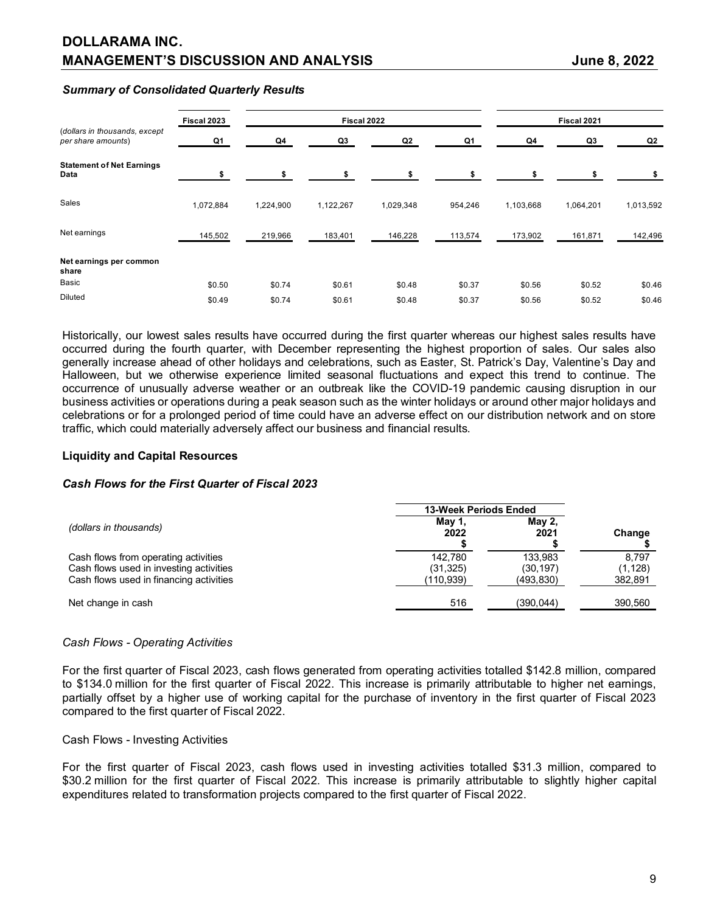## **DOLLARAMA INC. MANAGEMENT'S DISCUSSION AND ANALYSIS State of the State of State 3, 2022**

#### *Summary of Consolidated Quarterly Results*

|                                                     | Fiscal 2023 |           | Fiscal 2022 |           |         |           | Fiscal 2021 |           |
|-----------------------------------------------------|-------------|-----------|-------------|-----------|---------|-----------|-------------|-----------|
| (dollars in thousands, except<br>per share amounts) | Q1          | Q4        | Q3          | Q2        | Q1      | Q4        | Q3          | Q2        |
| <b>Statement of Net Earnings</b><br>Data            | \$          | ¢         | \$          | \$        |         | \$        |             |           |
| Sales                                               | 1,072,884   | 1,224,900 | 1,122,267   | 1,029,348 | 954,246 | 1,103,668 | 1,064,201   | 1,013,592 |
| Net earnings                                        | 145,502     | 219,966   | 183,401     | 146,228   | 113,574 | 173,902   | 161,871     | 142,496   |
| Net earnings per common<br>share                    |             |           |             |           |         |           |             |           |
| Basic                                               | \$0.50      | \$0.74    | \$0.61      | \$0.48    | \$0.37  | \$0.56    | \$0.52      | \$0.46    |
| <b>Diluted</b>                                      | \$0.49      | \$0.74    | \$0.61      | \$0.48    | \$0.37  | \$0.56    | \$0.52      | \$0.46    |

Historically, our lowest sales results have occurred during the first quarter whereas our highest sales results have occurred during the fourth quarter, with December representing the highest proportion of sales. Our sales also generally increase ahead of other holidays and celebrations, such as Easter, St. Patrick's Day, Valentine's Day and Halloween, but we otherwise experience limited seasonal fluctuations and expect this trend to continue. The occurrence of unusually adverse weather or an outbreak like the COVID-19 pandemic causing disruption in our business activities or operations during a peak season such as the winter holidays or around other major holidays and celebrations or for a prolonged period of time could have an adverse effect on our distribution network and on store traffic, which could materially adversely affect our business and financial results.

#### **Liquidity and Capital Resources**

#### *Cash Flows for the First Quarter of Fiscal 2023*

|                                                                                                                            | <b>13-Week Periods Ended</b>      |                                   |                             |
|----------------------------------------------------------------------------------------------------------------------------|-----------------------------------|-----------------------------------|-----------------------------|
| (dollars in thousands)                                                                                                     | May 1,<br>2022                    | May 2.<br>2021                    | Change                      |
| Cash flows from operating activities<br>Cash flows used in investing activities<br>Cash flows used in financing activities | 142.780<br>(31, 325)<br>(110,939) | 133.983<br>(30.197)<br>(493, 830) | 8.797<br>(1,128)<br>382,891 |
| Net change in cash                                                                                                         | 516                               | (390.044)                         | 390,560                     |

#### *Cash Flows - Operating Activities*

For the first quarter of Fiscal 2023, cash flows generated from operating activities totalled \$142.8 million, compared to \$134.0 million for the first quarter of Fiscal 2022. This increase is primarily attributable to higher net earnings, partially offset by a higher use of working capital for the purchase of inventory in the first quarter of Fiscal 2023 compared to the first quarter of Fiscal 2022.

#### Cash Flows - Investing Activities

For the first quarter of Fiscal 2023, cash flows used in investing activities totalled \$31.3 million, compared to \$30.2 million for the first quarter of Fiscal 2022. This increase is primarily attributable to slightly higher capital expenditures related to transformation projects compared to the first quarter of Fiscal 2022.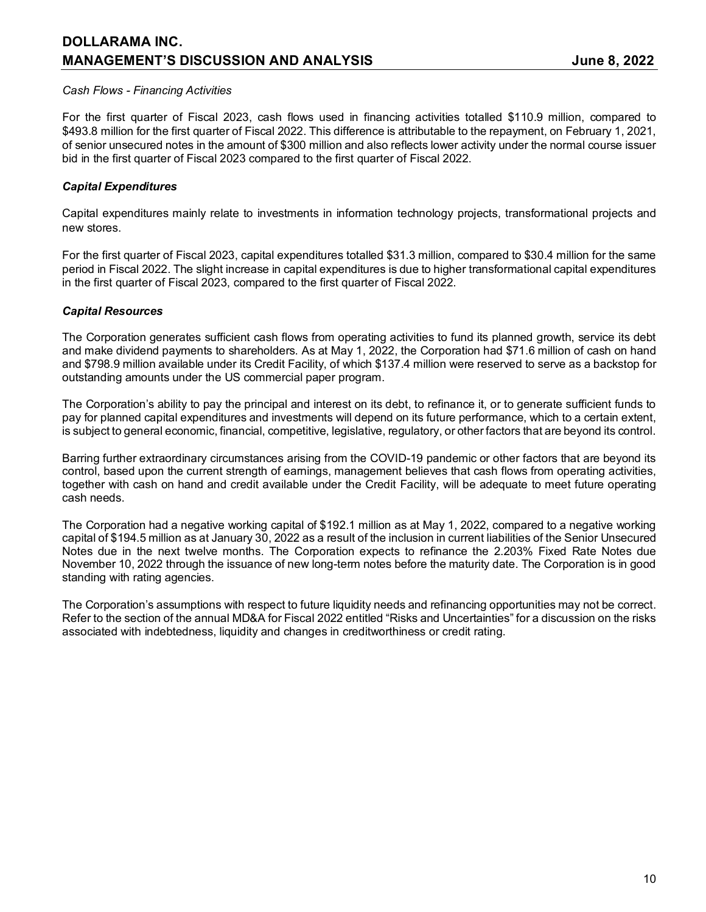## **DOLLARAMA INC. MANAGEMENT'S DISCUSSION AND ANALYSIS CONSUMING A SEXUAL SUBSEX 1988, 2022**

### *Cash Flows - Financing Activities*

For the first quarter of Fiscal 2023, cash flows used in financing activities totalled \$110.9 million, compared to \$493.8 million for the first quarter of Fiscal 2022. This difference is attributable to the repayment, on February 1, 2021, of senior unsecured notes in the amount of \$300 million and also reflects lower activity under the normal course issuer bid in the first quarter of Fiscal 2023 compared to the first quarter of Fiscal 2022.

## *Capital Expenditures*

Capital expenditures mainly relate to investments in information technology projects, transformational projects and new stores.

For the first quarter of Fiscal 2023, capital expenditures totalled \$31.3 million, compared to \$30.4 million for the same period in Fiscal 2022. The slight increase in capital expenditures is due to higher transformational capital expenditures in the first quarter of Fiscal 2023, compared to the first quarter of Fiscal 2022.

### *Capital Resources*

The Corporation generates sufficient cash flows from operating activities to fund its planned growth, service its debt and make dividend payments to shareholders. As at May 1, 2022, the Corporation had \$71.6 million of cash on hand and \$798.9 million available under its Credit Facility, of which \$137.4 million were reserved to serve as a backstop for outstanding amounts under the US commercial paper program.

The Corporation's ability to pay the principal and interest on its debt, to refinance it, or to generate sufficient funds to pay for planned capital expenditures and investments will depend on its future performance, which to a certain extent, is subject to general economic, financial, competitive, legislative, regulatory, or other factors that are beyond its control.

Barring further extraordinary circumstances arising from the COVID-19 pandemic or other factors that are beyond its control, based upon the current strength of earnings, management believes that cash flows from operating activities, together with cash on hand and credit available under the Credit Facility, will be adequate to meet future operating cash needs.

The Corporation had a negative working capital of \$192.1 million as at May 1, 2022, compared to a negative working capital of \$194.5 million as at January 30, 2022 as a result of the inclusion in current liabilities of the Senior Unsecured Notes due in the next twelve months. The Corporation expects to refinance the 2.203% Fixed Rate Notes due November 10, 2022 through the issuance of new long-term notes before the maturity date. The Corporation is in good standing with rating agencies.

The Corporation's assumptions with respect to future liquidity needs and refinancing opportunities may not be correct. Refer to the section of the annual MD&A for Fiscal 2022 entitled "Risks and Uncertainties" for a discussion on the risks associated with indebtedness, liquidity and changes in creditworthiness or credit rating.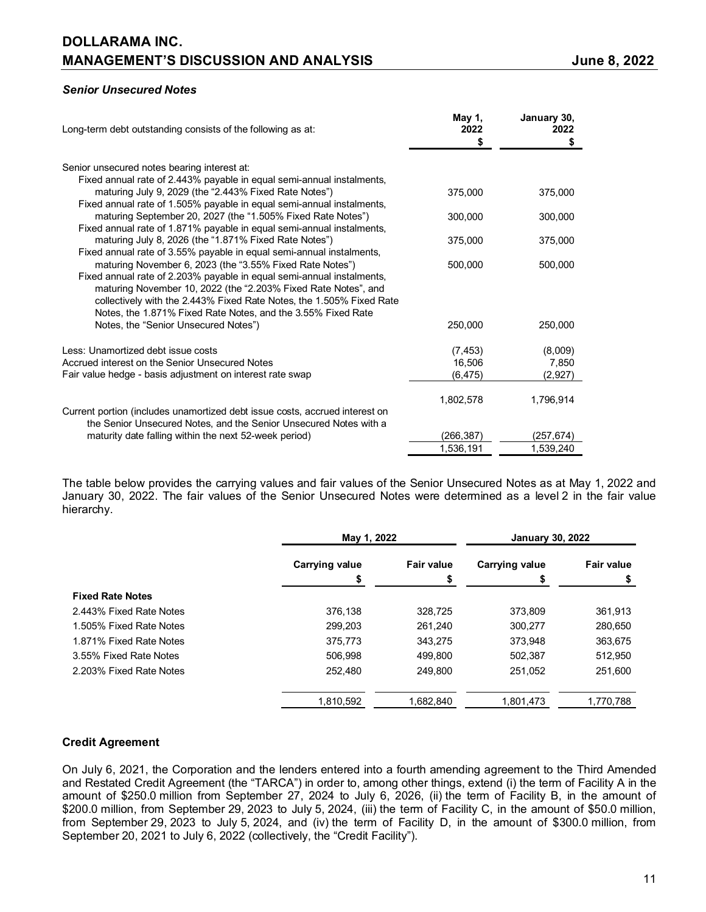## *Senior Unsecured Notes*

| Long-term debt outstanding consists of the following as at:                                                                                                                                                                                                                                                                                 | May 1,<br>2022                 | January 30,<br>2022         |
|---------------------------------------------------------------------------------------------------------------------------------------------------------------------------------------------------------------------------------------------------------------------------------------------------------------------------------------------|--------------------------------|-----------------------------|
|                                                                                                                                                                                                                                                                                                                                             | S                              | S                           |
| Senior unsecured notes bearing interest at:                                                                                                                                                                                                                                                                                                 |                                |                             |
| Fixed annual rate of 2.443% payable in equal semi-annual instalments,<br>maturing July 9, 2029 (the "2.443% Fixed Rate Notes")<br>Fixed annual rate of 1.505% payable in equal semi-annual instalments,                                                                                                                                     | 375,000                        | 375,000                     |
| maturing September 20, 2027 (the "1.505% Fixed Rate Notes")<br>Fixed annual rate of 1.871% payable in equal semi-annual instalments,                                                                                                                                                                                                        | 300,000                        | 300,000                     |
| maturing July 8, 2026 (the "1.871% Fixed Rate Notes")<br>Fixed annual rate of 3.55% payable in equal semi-annual instalments,                                                                                                                                                                                                               | 375,000                        | 375,000                     |
| maturing November 6, 2023 (the "3.55% Fixed Rate Notes")<br>Fixed annual rate of 2.203% payable in equal semi-annual instalments,<br>maturing November 10, 2022 (the "2.203% Fixed Rate Notes", and<br>collectively with the 2.443% Fixed Rate Notes, the 1.505% Fixed Rate<br>Notes, the 1.871% Fixed Rate Notes, and the 3.55% Fixed Rate | 500,000                        | 500,000                     |
| Notes, the "Senior Unsecured Notes")                                                                                                                                                                                                                                                                                                        | 250,000                        | 250,000                     |
| Less: Unamortized debt issue costs<br>Accrued interest on the Senior Unsecured Notes<br>Fair value hedge - basis adjustment on interest rate swap                                                                                                                                                                                           | (7, 453)<br>16,506<br>(6, 475) | (8,009)<br>7,850<br>(2,927) |
| Current portion (includes unamortized debt issue costs, accrued interest on                                                                                                                                                                                                                                                                 | 1,802,578                      | 1,796,914                   |
| the Senior Unsecured Notes, and the Senior Unsecured Notes with a                                                                                                                                                                                                                                                                           |                                |                             |
| maturity date falling within the next 52-week period)                                                                                                                                                                                                                                                                                       | (266,387)                      | (257,674)                   |
|                                                                                                                                                                                                                                                                                                                                             | 1,536,191                      | 1,539,240                   |

The table below provides the carrying values and fair values of the Senior Unsecured Notes as at May 1, 2022 and January 30, 2022. The fair values of the Senior Unsecured Notes were determined as a level 2 in the fair value hierarchy.

|                         |                | May 1, 2022       |                       | <b>January 30, 2022</b> |
|-------------------------|----------------|-------------------|-----------------------|-------------------------|
|                         | Carrying value | <b>Fair value</b> | <b>Carrying value</b> | <b>Fair value</b>       |
|                         | S              |                   | S                     |                         |
| <b>Fixed Rate Notes</b> |                |                   |                       |                         |
| 2.443% Fixed Rate Notes | 376.138        | 328.725           | 373.809               | 361,913                 |
| 1.505% Fixed Rate Notes | 299,203        | 261,240           | 300,277               | 280,650                 |
| 1.871% Fixed Rate Notes | 375.773        | 343.275           | 373.948               | 363,675                 |
| 3.55% Fixed Rate Notes  | 506.998        | 499.800           | 502,387               | 512,950                 |
| 2.203% Fixed Rate Notes | 252.480        | 249.800           | 251.052               | 251,600                 |
|                         | 1.810.592      | 1.682.840         | 1,801,473             | 1,770,788               |

## **Credit Agreement**

On July 6, 2021, the Corporation and the lenders entered into a fourth amending agreement to the Third Amended and Restated Credit Agreement (the "TARCA") in order to, among other things, extend (i) the term of Facility A in the amount of \$250.0 million from September 27, 2024 to July 6, 2026, (ii) the term of Facility B, in the amount of \$200.0 million, from September 29, 2023 to July 5, 2024, (iii) the term of Facility C, in the amount of \$50.0 million, from September 29, 2023 to July 5, 2024, and (iv) the term of Facility D, in the amount of \$300.0 million, from September 20, 2021 to July 6, 2022 (collectively, the "Credit Facility").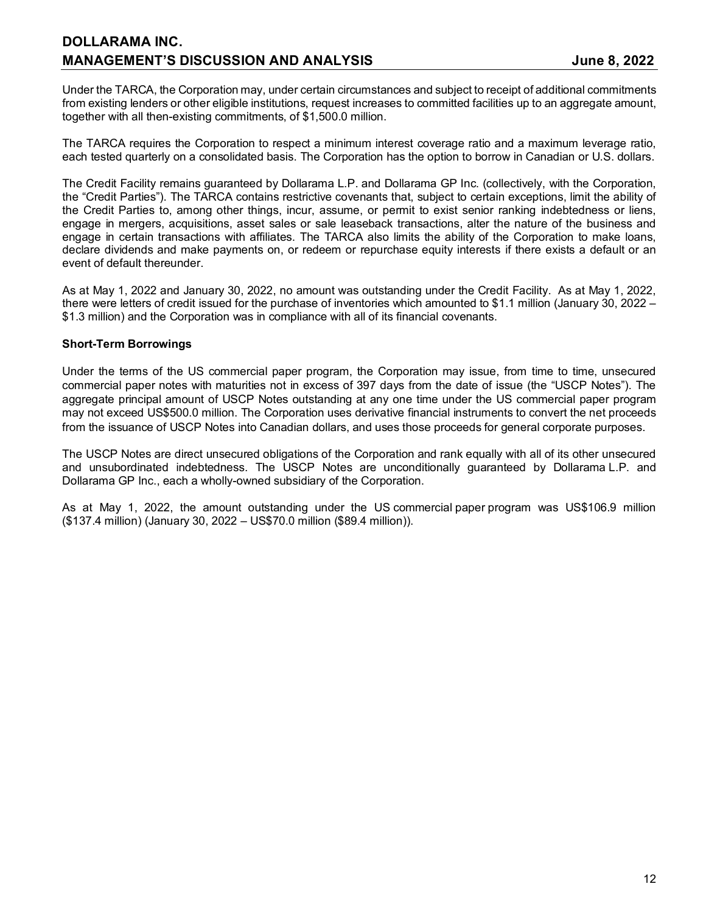## **DOLLARAMA INC. MANAGEMENT'S DISCUSSION AND ANALYSIS CONSUMING A SEXUAL SEXUAL SEXUAL SEXUAL SEXUAL SEXUAL SEXUAL SEXUAL SEXUAL**

Under the TARCA, the Corporation may, under certain circumstances and subject to receipt of additional commitments from existing lenders or other eligible institutions, request increases to committed facilities up to an aggregate amount, together with all then-existing commitments, of \$1,500.0 million.

The TARCA requires the Corporation to respect a minimum interest coverage ratio and a maximum leverage ratio, each tested quarterly on a consolidated basis. The Corporation has the option to borrow in Canadian or U.S. dollars.

The Credit Facility remains guaranteed by Dollarama L.P. and Dollarama GP Inc. (collectively, with the Corporation, the "Credit Parties"). The TARCA contains restrictive covenants that, subject to certain exceptions, limit the ability of the Credit Parties to, among other things, incur, assume, or permit to exist senior ranking indebtedness or liens, engage in mergers, acquisitions, asset sales or sale leaseback transactions, alter the nature of the business and engage in certain transactions with affiliates. The TARCA also limits the ability of the Corporation to make loans, declare dividends and make payments on, or redeem or repurchase equity interests if there exists a default or an event of default thereunder.

As at May 1, 2022 and January 30, 2022, no amount was outstanding under the Credit Facility. As at May 1, 2022, there were letters of credit issued for the purchase of inventories which amounted to \$1.1 million (January 30, 2022 – \$1.3 million) and the Corporation was in compliance with all of its financial covenants.

### **Short-Term Borrowings**

Under the terms of the US commercial paper program, the Corporation may issue, from time to time, unsecured commercial paper notes with maturities not in excess of 397 days from the date of issue (the "USCP Notes"). The aggregate principal amount of USCP Notes outstanding at any one time under the US commercial paper program may not exceed US\$500.0 million. The Corporation uses derivative financial instruments to convert the net proceeds from the issuance of USCP Notes into Canadian dollars, and uses those proceeds for general corporate purposes.

The USCP Notes are direct unsecured obligations of the Corporation and rank equally with all of its other unsecured and unsubordinated indebtedness. The USCP Notes are unconditionally guaranteed by Dollarama L.P. and Dollarama GP Inc., each a wholly-owned subsidiary of the Corporation.

As at May 1, 2022, the amount outstanding under the US commercial paper program was US\$106.9 million (\$137.4 million) (January 30, 2022 – US\$70.0 million (\$89.4 million)).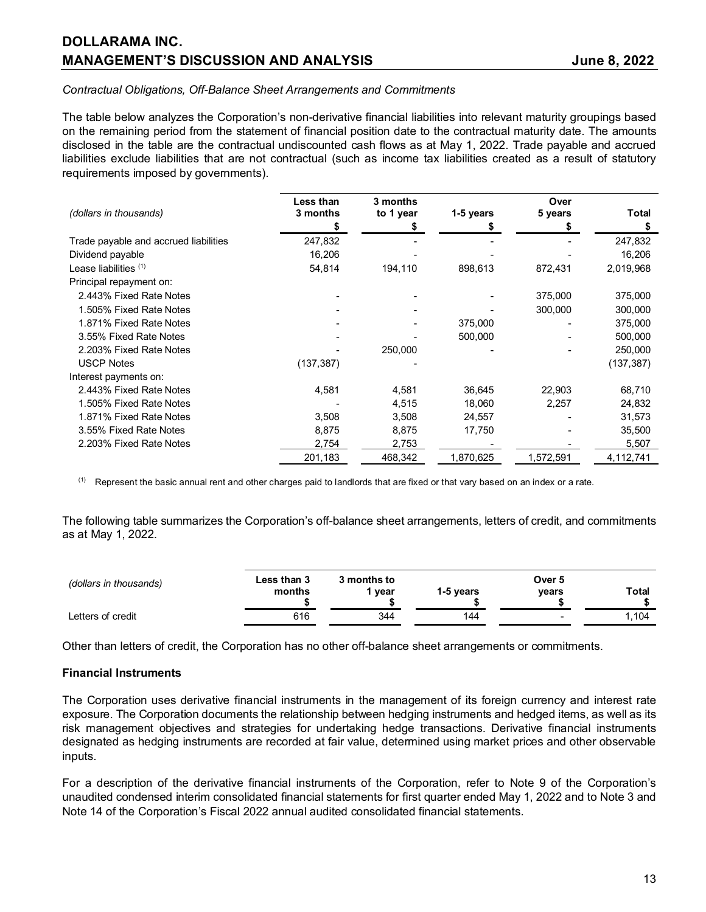### *Contractual Obligations, Off-Balance Sheet Arrangements and Commitments*

The table below analyzes the Corporation's non-derivative financial liabilities into relevant maturity groupings based on the remaining period from the statement of financial position date to the contractual maturity date. The amounts disclosed in the table are the contractual undiscounted cash flows as at May 1, 2022. Trade payable and accrued liabilities exclude liabilities that are not contractual (such as income tax liabilities created as a result of statutory requirements imposed by governments).

|                                       | Less than  | 3 months  |           | Over      |              |
|---------------------------------------|------------|-----------|-----------|-----------|--------------|
| (dollars in thousands)                | 3 months   | to 1 year | 1-5 years | 5 years   | <b>Total</b> |
|                                       | S          |           |           |           | S            |
| Trade payable and accrued liabilities | 247,832    |           |           |           | 247,832      |
| Dividend payable                      | 16,206     |           |           |           | 16,206       |
| Lease liabilities (1)                 | 54,814     | 194,110   | 898,613   | 872,431   | 2,019,968    |
| Principal repayment on:               |            |           |           |           |              |
| 2.443% Fixed Rate Notes               |            |           |           | 375,000   | 375,000      |
| 1.505% Fixed Rate Notes               |            |           |           | 300,000   | 300,000      |
| 1.871% Fixed Rate Notes               |            |           | 375,000   |           | 375,000      |
| 3.55% Fixed Rate Notes                |            |           | 500,000   |           | 500,000      |
| 2.203% Fixed Rate Notes               |            | 250,000   |           |           | 250,000      |
| <b>USCP Notes</b>                     | (137, 387) |           |           |           | (137, 387)   |
| Interest payments on:                 |            |           |           |           |              |
| 2.443% Fixed Rate Notes               | 4,581      | 4,581     | 36,645    | 22,903    | 68,710       |
| 1.505% Fixed Rate Notes               |            | 4,515     | 18,060    | 2,257     | 24,832       |
| 1.871% Fixed Rate Notes               | 3,508      | 3,508     | 24,557    |           | 31,573       |
| 3.55% Fixed Rate Notes                | 8,875      | 8,875     | 17,750    |           | 35,500       |
| 2.203% Fixed Rate Notes               | 2,754      | 2,753     |           |           | 5,507        |
|                                       | 201,183    | 468,342   | 1,870,625 | 1,572,591 | 4,112,741    |
|                                       |            |           |           |           |              |

 $<sup>(1)</sup>$  Represent the basic annual rent and other charges paid to landlords that are fixed or that vary based on an index or a rate.</sup>

The following table summarizes the Corporation's off-balance sheet arrangements, letters of credit, and commitments as at May 1, 2022.

| (dollars in thousands) | Less than 3<br>months | 3 months to<br>vear | 1-5 vears | Over 5<br>vears | Total |
|------------------------|-----------------------|---------------------|-----------|-----------------|-------|
| Letters of credit      | 616                   | 344                 | 144       | -               | .104  |

Other than letters of credit, the Corporation has no other off-balance sheet arrangements or commitments.

#### **Financial Instruments**

The Corporation uses derivative financial instruments in the management of its foreign currency and interest rate exposure. The Corporation documents the relationship between hedging instruments and hedged items, as well as its risk management objectives and strategies for undertaking hedge transactions. Derivative financial instruments designated as hedging instruments are recorded at fair value, determined using market prices and other observable inputs.

For a description of the derivative financial instruments of the Corporation, refer to Note 9 of the Corporation's unaudited condensed interim consolidated financial statements for first quarter ended May 1, 2022 and to Note 3 and Note 14 of the Corporation's Fiscal 2022 annual audited consolidated financial statements.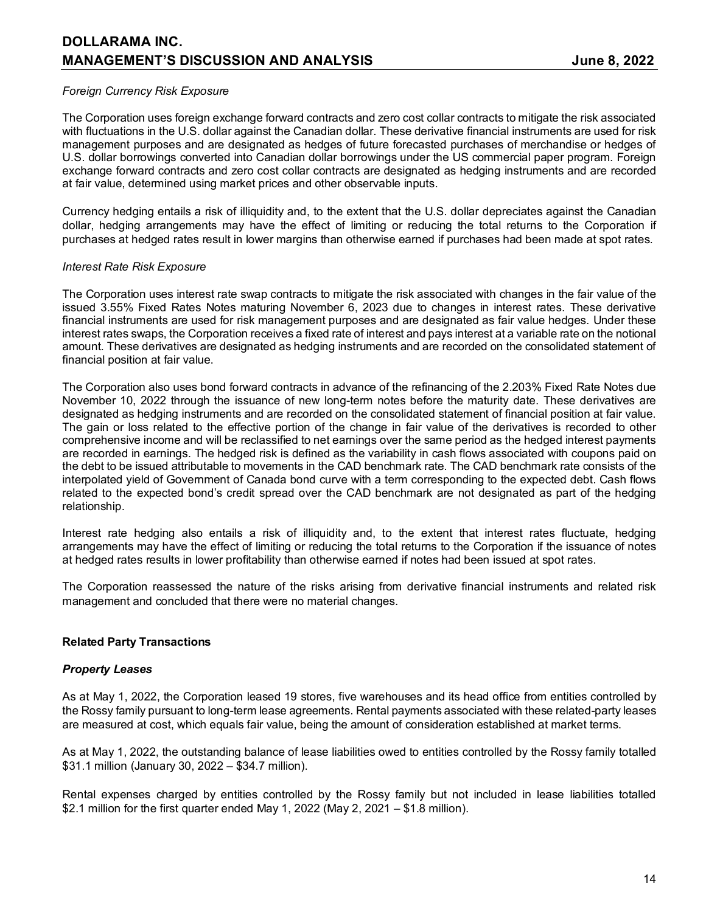## *Foreign Currency Risk Exposure*

The Corporation uses foreign exchange forward contracts and zero cost collar contracts to mitigate the risk associated with fluctuations in the U.S. dollar against the Canadian dollar. These derivative financial instruments are used for risk management purposes and are designated as hedges of future forecasted purchases of merchandise or hedges of U.S. dollar borrowings converted into Canadian dollar borrowings under the US commercial paper program. Foreign exchange forward contracts and zero cost collar contracts are designated as hedging instruments and are recorded at fair value, determined using market prices and other observable inputs.

Currency hedging entails a risk of illiquidity and, to the extent that the U.S. dollar depreciates against the Canadian dollar, hedging arrangements may have the effect of limiting or reducing the total returns to the Corporation if purchases at hedged rates result in lower margins than otherwise earned if purchases had been made at spot rates.

### *Interest Rate Risk Exposure*

The Corporation uses interest rate swap contracts to mitigate the risk associated with changes in the fair value of the issued 3.55% Fixed Rates Notes maturing November 6, 2023 due to changes in interest rates. These derivative financial instruments are used for risk management purposes and are designated as fair value hedges. Under these interest rates swaps, the Corporation receives a fixed rate of interest and pays interest at a variable rate on the notional amount. These derivatives are designated as hedging instruments and are recorded on the consolidated statement of financial position at fair value.

The Corporation also uses bond forward contracts in advance of the refinancing of the 2.203% Fixed Rate Notes due November 10, 2022 through the issuance of new long-term notes before the maturity date. These derivatives are designated as hedging instruments and are recorded on the consolidated statement of financial position at fair value. The gain or loss related to the effective portion of the change in fair value of the derivatives is recorded to other comprehensive income and will be reclassified to net earnings over the same period as the hedged interest payments are recorded in earnings. The hedged risk is defined as the variability in cash flows associated with coupons paid on the debt to be issued attributable to movements in the CAD benchmark rate. The CAD benchmark rate consists of the interpolated yield of Government of Canada bond curve with a term corresponding to the expected debt. Cash flows related to the expected bond's credit spread over the CAD benchmark are not designated as part of the hedging relationship.

Interest rate hedging also entails a risk of illiquidity and, to the extent that interest rates fluctuate, hedging arrangements may have the effect of limiting or reducing the total returns to the Corporation if the issuance of notes at hedged rates results in lower profitability than otherwise earned if notes had been issued at spot rates.

The Corporation reassessed the nature of the risks arising from derivative financial instruments and related risk management and concluded that there were no material changes.

## **Related Party Transactions**

#### *Property Leases*

As at May 1, 2022, the Corporation leased 19 stores, five warehouses and its head office from entities controlled by the Rossy family pursuant to long-term lease agreements. Rental payments associated with these related-party leases are measured at cost, which equals fair value, being the amount of consideration established at market terms.

As at May 1, 2022, the outstanding balance of lease liabilities owed to entities controlled by the Rossy family totalled \$31.1 million (January 30, 2022 – \$34.7 million).

Rental expenses charged by entities controlled by the Rossy family but not included in lease liabilities totalled \$2.1 million for the first quarter ended May 1, 2022 (May 2, 2021 – \$1.8 million).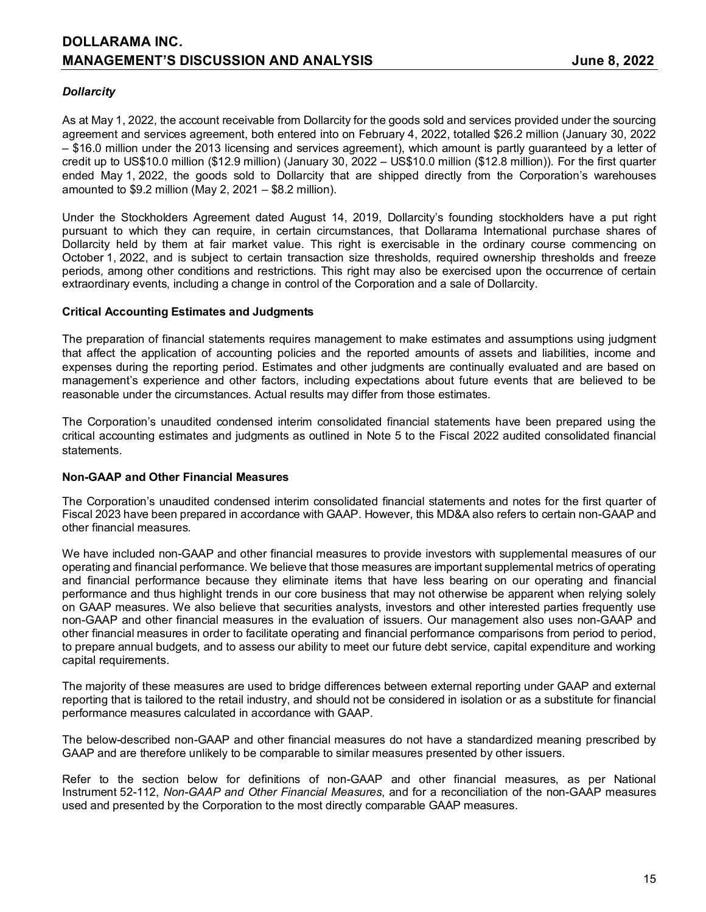## *Dollarcity*

As at May 1, 2022, the account receivable from Dollarcity for the goods sold and services provided under the sourcing agreement and services agreement, both entered into on February 4, 2022, totalled \$26.2 million (January 30, 2022 – \$16.0 million under the 2013 licensing and services agreement), which amount is partly guaranteed by a letter of credit up to US\$10.0 million (\$12.9 million) (January 30, 2022 – US\$10.0 million (\$12.8 million)). For the first quarter ended May 1, 2022, the goods sold to Dollarcity that are shipped directly from the Corporation's warehouses amounted to \$9.2 million (May 2, 2021 – \$8.2 million).

Under the Stockholders Agreement dated August 14, 2019, Dollarcity's founding stockholders have a put right pursuant to which they can require, in certain circumstances, that Dollarama International purchase shares of Dollarcity held by them at fair market value. This right is exercisable in the ordinary course commencing on October 1, 2022, and is subject to certain transaction size thresholds, required ownership thresholds and freeze periods, among other conditions and restrictions. This right may also be exercised upon the occurrence of certain extraordinary events, including a change in control of the Corporation and a sale of Dollarcity.

## **Critical Accounting Estimates and Judgments**

The preparation of financial statements requires management to make estimates and assumptions using judgment that affect the application of accounting policies and the reported amounts of assets and liabilities, income and expenses during the reporting period. Estimates and other judgments are continually evaluated and are based on management's experience and other factors, including expectations about future events that are believed to be reasonable under the circumstances. Actual results may differ from those estimates.

The Corporation's unaudited condensed interim consolidated financial statements have been prepared using the critical accounting estimates and judgments as outlined in Note 5 to the Fiscal 2022 audited consolidated financial statements.

#### **Non-GAAP and Other Financial Measures**

The Corporation's unaudited condensed interim consolidated financial statements and notes for the first quarter of Fiscal 2023 have been prepared in accordance with GAAP. However, this MD&A also refers to certain non-GAAP and other financial measures.

We have included non-GAAP and other financial measures to provide investors with supplemental measures of our operating and financial performance. We believe that those measures are important supplemental metrics of operating and financial performance because they eliminate items that have less bearing on our operating and financial performance and thus highlight trends in our core business that may not otherwise be apparent when relying solely on GAAP measures. We also believe that securities analysts, investors and other interested parties frequently use non-GAAP and other financial measures in the evaluation of issuers. Our management also uses non-GAAP and other financial measures in order to facilitate operating and financial performance comparisons from period to period, to prepare annual budgets, and to assess our ability to meet our future debt service, capital expenditure and working capital requirements.

The majority of these measures are used to bridge differences between external reporting under GAAP and external reporting that is tailored to the retail industry, and should not be considered in isolation or as a substitute for financial performance measures calculated in accordance with GAAP.

The below-described non-GAAP and other financial measures do not have a standardized meaning prescribed by GAAP and are therefore unlikely to be comparable to similar measures presented by other issuers.

Refer to the section below for definitions of non-GAAP and other financial measures, as per National Instrument 52-112, *Non-GAAP and Other Financial Measures*, and for a reconciliation of the non-GAAP measures used and presented by the Corporation to the most directly comparable GAAP measures.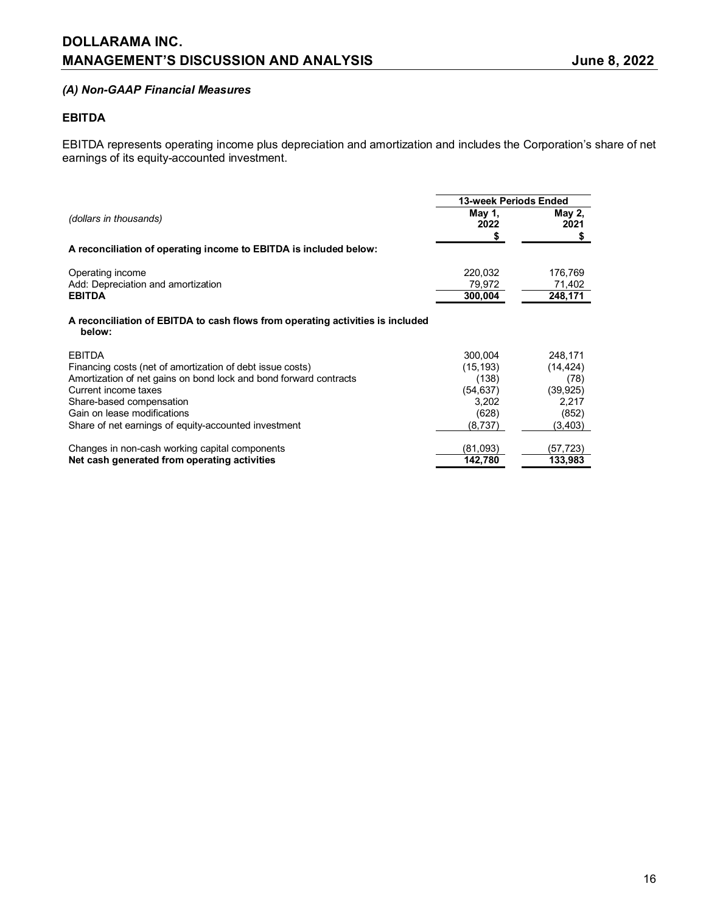## **DOLLARAMA INC. MANAGEMENT'S DISCUSSION AND ANALYSIS CONSERVANT AND ANALYSIS AND ANALYSIS**

## *(A) Non-GAAP Financial Measures*

## **EBITDA**

EBITDA represents operating income plus depreciation and amortization and includes the Corporation's share of net earnings of its equity-accounted investment.

|                                                                                                                                                                                                                                                                                            | <b>13-week Periods Ended</b>                                            |                                                                         |
|--------------------------------------------------------------------------------------------------------------------------------------------------------------------------------------------------------------------------------------------------------------------------------------------|-------------------------------------------------------------------------|-------------------------------------------------------------------------|
| (dollars in thousands)                                                                                                                                                                                                                                                                     | May 1,<br>2022                                                          | May 2,<br>2021<br>\$                                                    |
| A reconciliation of operating income to EBITDA is included below:                                                                                                                                                                                                                          |                                                                         |                                                                         |
| Operating income<br>Add: Depreciation and amortization<br><b>EBITDA</b>                                                                                                                                                                                                                    | 220,032<br>79,972<br>300,004                                            | 176,769<br>71,402<br>248,171                                            |
| A reconciliation of EBITDA to cash flows from operating activities is included<br>below:                                                                                                                                                                                                   |                                                                         |                                                                         |
| <b>EBITDA</b><br>Financing costs (net of amortization of debt issue costs)<br>Amortization of net gains on bond lock and bond forward contracts<br>Current income taxes<br>Share-based compensation<br>Gain on lease modifications<br>Share of net earnings of equity-accounted investment | 300,004<br>(15, 193)<br>(138)<br>(54, 637)<br>3,202<br>(628)<br>(8,737) | 248,171<br>(14, 424)<br>(78)<br>(39, 925)<br>2,217<br>(852)<br>(3, 403) |
| Changes in non-cash working capital components<br>Net cash generated from operating activities                                                                                                                                                                                             | (81,093)<br>142,780                                                     | (57,723)<br>133,983                                                     |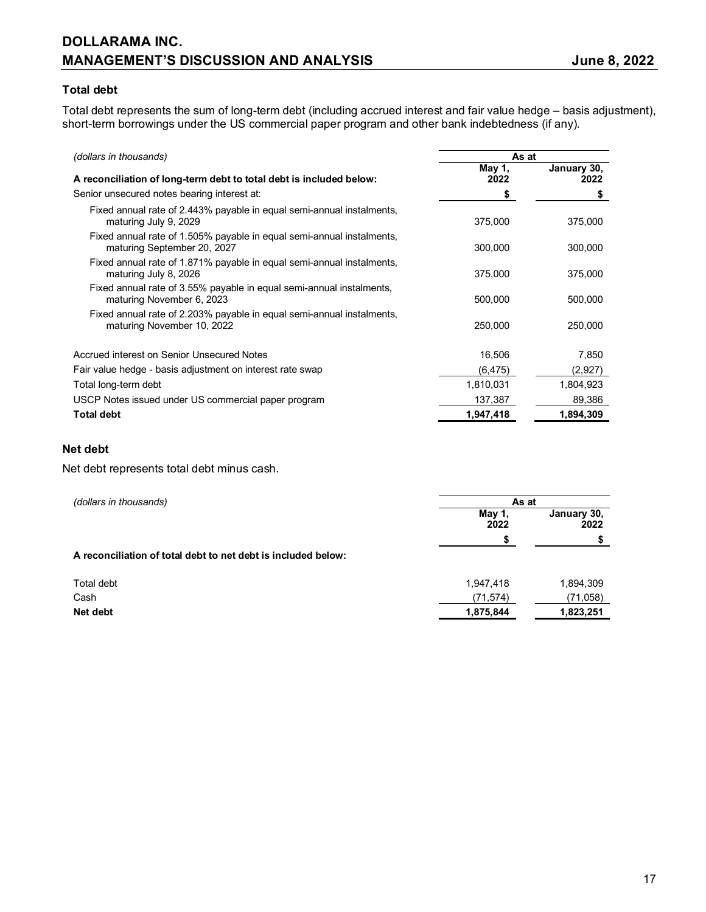## **DOLLARAMA INC. MANAGEMENT'S DISCUSSION AND ANALYSIS State of the State of State 3, 2022**

## **Total debt**

Total debt represents the sum of long-term debt (including accrued interest and fair value hedge – basis adjustment), short-term borrowings under the US commercial paper program and other bank indebtedness (if any).

| (dollars in thousands)                                                                               | As at          |                     |
|------------------------------------------------------------------------------------------------------|----------------|---------------------|
| A reconciliation of long-term debt to total debt is included below:                                  | May 1,<br>2022 | January 30,<br>2022 |
| Senior unsecured notes bearing interest at:                                                          | \$             | \$                  |
| Fixed annual rate of 2.443% payable in equal semi-annual instalments,<br>maturing July 9, 2029       | 375,000        | 375,000             |
| Fixed annual rate of 1.505% payable in equal semi-annual instalments,<br>maturing September 20, 2027 | 300,000        | 300,000             |
| Fixed annual rate of 1.871% payable in equal semi-annual instalments,<br>maturing July 8, 2026       | 375,000        | 375,000             |
| Fixed annual rate of 3.55% payable in equal semi-annual instalments,<br>maturing November 6, 2023    | 500,000        | 500,000             |
| Fixed annual rate of 2.203% payable in equal semi-annual instalments,<br>maturing November 10, 2022  | 250,000        | 250,000             |
| Accrued interest on Senior Unsecured Notes                                                           | 16,506         | 7,850               |
| Fair value hedge - basis adjustment on interest rate swap                                            | (6, 475)       | (2,927)             |
| Total long-term debt                                                                                 | 1,810,031      | 1,804,923           |
| USCP Notes issued under US commercial paper program                                                  | 137,387        | 89,386              |
| <b>Total debt</b>                                                                                    | 1,947,418      | 1,894,309           |

## **Net debt**

Net debt represents total debt minus cash.

| (dollars in thousands)                                        | As at          |                     |
|---------------------------------------------------------------|----------------|---------------------|
|                                                               | May 1,<br>2022 | January 30,<br>2022 |
|                                                               | \$             |                     |
| A reconciliation of total debt to net debt is included below: |                |                     |
| Total debt                                                    | 1,947,418      | 1,894,309           |
| Cash                                                          | (71, 574)      | (71, 058)           |
| Net debt                                                      | 1,875,844      | 1,823,251           |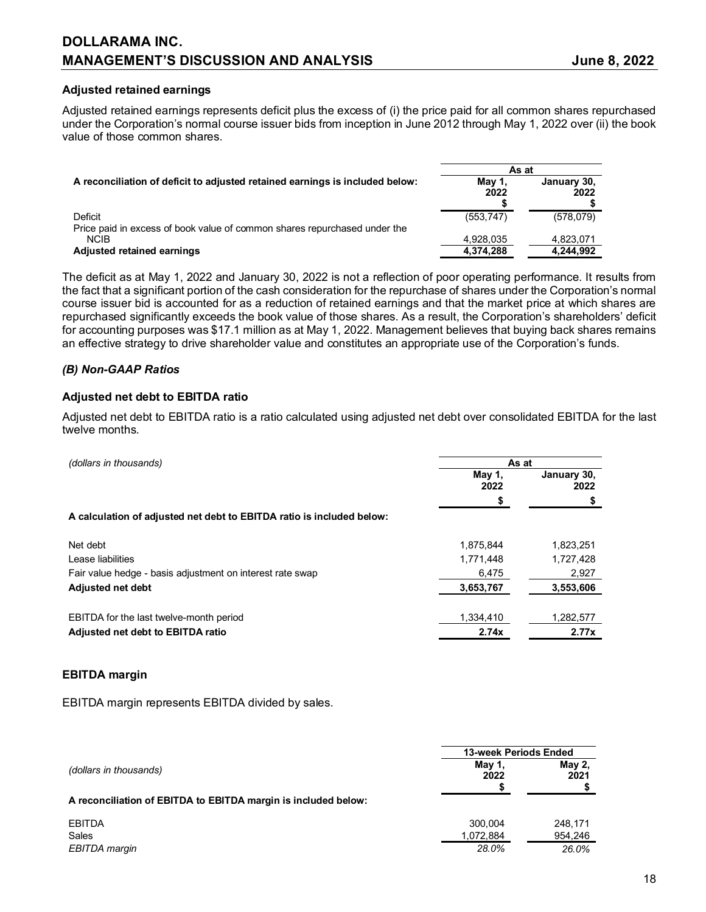#### **Adjusted retained earnings**

Adjusted retained earnings represents deficit plus the excess of (i) the price paid for all common shares repurchased under the Corporation's normal course issuer bids from inception in June 2012 through May 1, 2022 over (ii) the book value of those common shares.

|                                                                                      | As at          |                     |  |
|--------------------------------------------------------------------------------------|----------------|---------------------|--|
| A reconciliation of deficit to adjusted retained earnings is included below:         | May 1,<br>2022 | January 30.<br>2022 |  |
| Deficit<br>Price paid in excess of book value of common shares repurchased under the | (553, 747)     | (578,079)           |  |
| <b>NCIB</b>                                                                          | 4,928,035      | 4,823,071           |  |
| <b>Adjusted retained earnings</b>                                                    | 4.374.288      | 4.244.992           |  |

The deficit as at May 1, 2022 and January 30, 2022 is not a reflection of poor operating performance. It results from the fact that a significant portion of the cash consideration for the repurchase of shares under the Corporation's normal course issuer bid is accounted for as a reduction of retained earnings and that the market price at which shares are repurchased significantly exceeds the book value of those shares. As a result, the Corporation's shareholders' deficit for accounting purposes was \$17.1 million as at May 1, 2022. Management believes that buying back shares remains an effective strategy to drive shareholder value and constitutes an appropriate use of the Corporation's funds.

### *(B) Non-GAAP Ratios*

#### **Adjusted net debt to EBITDA ratio**

Adjusted net debt to EBITDA ratio is a ratio calculated using adjusted net debt over consolidated EBITDA for the last twelve months.

| (dollars in thousands)                                                | As at          |                     |
|-----------------------------------------------------------------------|----------------|---------------------|
|                                                                       | May 1,<br>2022 | January 30,<br>2022 |
|                                                                       | S              |                     |
| A calculation of adjusted net debt to EBITDA ratio is included below: |                |                     |
| Net debt                                                              | 1,875,844      | 1,823,251           |
| Lease liabilities                                                     | 1,771,448      | 1,727,428           |
| Fair value hedge - basis adjustment on interest rate swap             | 6,475          | 2,927               |
| <b>Adjusted net debt</b>                                              | 3,653,767      | 3,553,606           |
| EBITDA for the last twelve-month period                               | 1.334.410      | 1,282,577           |
| Adjusted net debt to EBITDA ratio                                     | 2.74x          | 2.77x               |

#### **EBITDA margin**

EBITDA margin represents EBITDA divided by sales.

|                                                                | 13-week Periods Ended |                |
|----------------------------------------------------------------|-----------------------|----------------|
| (dollars in thousands)                                         | May 1,<br>2022        | May 2,<br>2021 |
| A reconciliation of EBITDA to EBITDA margin is included below: |                       |                |
| <b>EBITDA</b>                                                  | 300.004               | 248,171        |
| Sales                                                          | 1,072,884             | 954,246        |
| EBITDA margin                                                  | 28.0%                 | 26.0%          |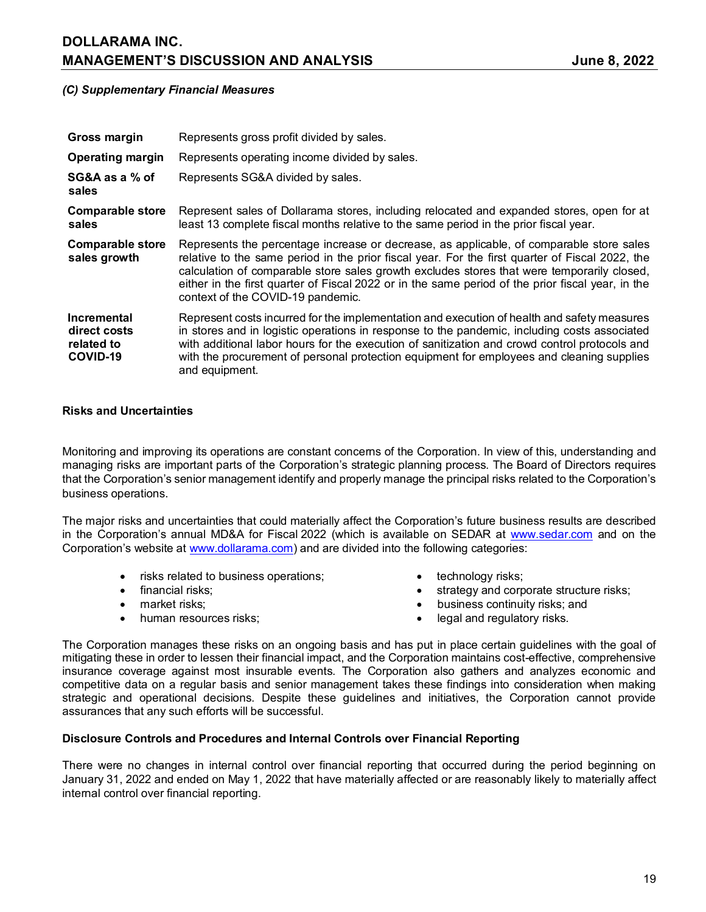## **DOLLARAMA INC. MANAGEMENT'S DISCUSSION AND ANALYSIS CONSUMING A SEXUAL SERVICE SEXUAL SUBSETSION AND ANALYSIS**

## *(C) Supplementary Financial Measures*

| Gross margin                                          | Represents gross profit divided by sales.                                                                                                                                                                                                                                                                                                                                                                                           |
|-------------------------------------------------------|-------------------------------------------------------------------------------------------------------------------------------------------------------------------------------------------------------------------------------------------------------------------------------------------------------------------------------------------------------------------------------------------------------------------------------------|
| <b>Operating margin</b>                               | Represents operating income divided by sales.                                                                                                                                                                                                                                                                                                                                                                                       |
| SG&A as a % of<br>sales                               | Represents SG&A divided by sales.                                                                                                                                                                                                                                                                                                                                                                                                   |
| <b>Comparable store</b><br>sales                      | Represent sales of Dollarama stores, including relocated and expanded stores, open for at<br>least 13 complete fiscal months relative to the same period in the prior fiscal year.                                                                                                                                                                                                                                                  |
| <b>Comparable store</b><br>sales growth               | Represents the percentage increase or decrease, as applicable, of comparable store sales<br>relative to the same period in the prior fiscal year. For the first quarter of Fiscal 2022, the<br>calculation of comparable store sales growth excludes stores that were temporarily closed,<br>either in the first quarter of Fiscal 2022 or in the same period of the prior fiscal year, in the<br>context of the COVID-19 pandemic. |
| Incremental<br>direct costs<br>related to<br>COVID-19 | Represent costs incurred for the implementation and execution of health and safety measures<br>in stores and in logistic operations in response to the pandemic, including costs associated<br>with additional labor hours for the execution of sanitization and crowd control protocols and<br>with the procurement of personal protection equipment for employees and cleaning supplies<br>and equipment.                         |

### **Risks and Uncertainties**

Monitoring and improving its operations are constant concerns of the Corporation. In view of this, understanding and managing risks are important parts of the Corporation's strategic planning process. The Board of Directors requires that the Corporation's senior management identify and properly manage the principal risks related to the Corporation's business operations.

The major risks and uncertainties that could materially affect the Corporation's future business results are described in the Corporation's annual MD&A for Fiscal 2022 (which is available on SEDAR at [www.sedar.com](http://www.sedar.com/) and on the Corporation's website at [www.dollarama.com\)](http://www.dollarama.com/) and are divided into the following categories:

- risks related to business operations;  $\bullet$  technology risks;
- 
- 
- 
- 
- financial risks; example and corporate structure risks; in strategy and corporate structure risks;
- market risks; business continuity risks; and
- human resources risks;  $\bullet$  legal and regulatory risks.

The Corporation manages these risks on an ongoing basis and has put in place certain guidelines with the goal of mitigating these in order to lessen their financial impact, and the Corporation maintains cost-effective, comprehensive insurance coverage against most insurable events. The Corporation also gathers and analyzes economic and competitive data on a regular basis and senior management takes these findings into consideration when making strategic and operational decisions. Despite these guidelines and initiatives, the Corporation cannot provide assurances that any such efforts will be successful.

## **Disclosure Controls and Procedures and Internal Controls over Financial Reporting**

There were no changes in internal control over financial reporting that occurred during the period beginning on January 31, 2022 and ended on May 1, 2022 that have materially affected or are reasonably likely to materially affect internal control over financial reporting.